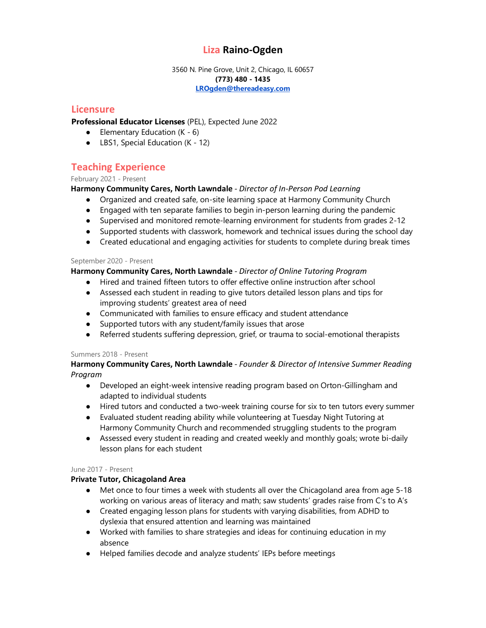# **Liza Raino-Ogden**

3560 N. Pine Grove, Unit 2, Chicago, IL 60657 **(773) 480 - 1435 [LROgden@thereadeasy.com](mailto:LROgden@thereadeasy.com)**

# **Licensure**

**Professional Educator Licenses** (PEL), Expected June 2022

- $\bullet$  Elementary Education (K 6)
- LBS1, Special Education (K 12)

# **Teaching Experience**

February 2021 - Present

# **Harmony Community Cares, North Lawndale** *- Director of In-Person Pod Learning*

- Organized and created safe, on-site learning space at Harmony Community Church
- Engaged with ten separate families to begin in-person learning during the pandemic
- Supervised and monitored remote-learning environment for students from grades 2-12
- Supported students with classwork, homework and technical issues during the school day
- Created educational and engaging activities for students to complete during break times

### September 2020 - Present

## **Harmony Community Cares, North Lawndale** *- Director of Online Tutoring Program*

- Hired and trained fifteen tutors to offer effective online instruction after school
- Assessed each student in reading to give tutors detailed lesson plans and tips for improving students' greatest area of need
- Communicated with families to ensure efficacy and student attendance
- Supported tutors with any student/family issues that arose
- Referred students suffering depression, grief, or trauma to social-emotional therapists

### Summers 2018 - Present

## **Harmony Community Cares, North Lawndale** *- Founder & Director of Intensive Summer Reading Program*

- Developed an eight-week intensive reading program based on Orton-Gillingham and adapted to individual students
- Hired tutors and conducted a two-week training course for six to ten tutors every summer
- Evaluated student reading ability while volunteering at Tuesday Night Tutoring at Harmony Community Church and recommended struggling students to the program
- Assessed every student in reading and created weekly and monthly goals; wrote bi-daily lesson plans for each student

### June 2017 - Present

### **Private Tutor, Chicagoland Area**

- Met once to four times a week with students all over the Chicagoland area from age 5-18 working on various areas of literacy and math; saw students' grades raise from C's to A's
- Created engaging lesson plans for students with varying disabilities, from ADHD to dyslexia that ensured attention and learning was maintained
- Worked with families to share strategies and ideas for continuing education in my absence
- Helped families decode and analyze students' IEPs before meetings